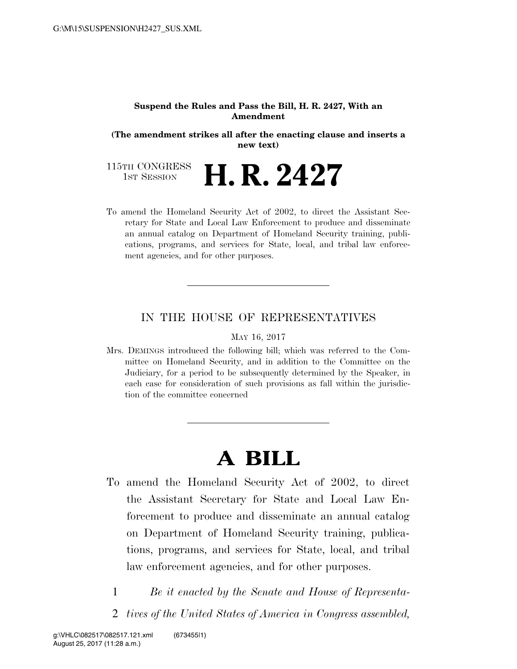### **Suspend the Rules and Pass the Bill, H. R. 2427, With an Amendment**

**(The amendment strikes all after the enacting clause and inserts a new text)** 

115TH CONGRESS<br>1st Session **H. R. 2427** 

To amend the Homeland Security Act of 2002, to direct the Assistant Secretary for State and Local Law Enforcement to produce and disseminate an annual catalog on Department of Homeland Security training, publications, programs, and services for State, local, and tribal law enforcement agencies, and for other purposes.

## IN THE HOUSE OF REPRESENTATIVES

#### MAY 16, 2017

Mrs. DEMINGS introduced the following bill; which was referred to the Committee on Homeland Security, and in addition to the Committee on the Judiciary, for a period to be subsequently determined by the Speaker, in each case for consideration of such provisions as fall within the jurisdiction of the committee concerned

# **A BILL**

- To amend the Homeland Security Act of 2002, to direct the Assistant Secretary for State and Local Law Enforcement to produce and disseminate an annual catalog on Department of Homeland Security training, publications, programs, and services for State, local, and tribal law enforcement agencies, and for other purposes.
	- 1 *Be it enacted by the Senate and House of Representa-*
	- 2 *tives of the United States of America in Congress assembled,*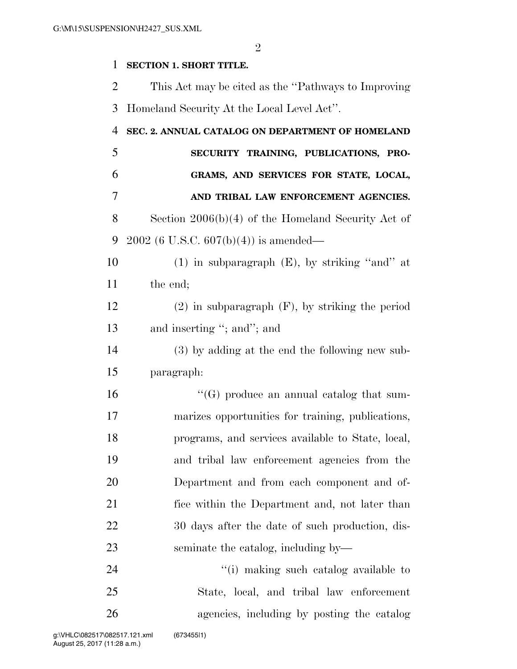## **SECTION 1. SHORT TITLE.**

 This Act may be cited as the ''Pathways to Improving Homeland Security At the Local Level Act''.

| 4  | SEC. 2. ANNUAL CATALOG ON DEPARTMENT OF HOMELAND     |
|----|------------------------------------------------------|
| 5  | SECURITY TRAINING, PUBLICATIONS, PRO-                |
| 6  | GRAMS, AND SERVICES FOR STATE, LOCAL,                |
| 7  | AND TRIBAL LAW ENFORCEMENT AGENCIES.                 |
| 8  | Section $2006(b)(4)$ of the Homeland Security Act of |
| 9  | $2002$ (6 U.S.C. 607(b)(4)) is amended—              |
| 10 | $(1)$ in subparagraph $(E)$ , by striking "and" at   |
| 11 | the end;                                             |
| 12 | $(2)$ in subparagraph $(F)$ , by striking the period |
| 13 | and inserting "; and"; and                           |
| 14 | (3) by adding at the end the following new sub-      |
| 15 | paragraph:                                           |
| 16 | "(G) produce an annual catalog that sum-             |
| 17 | marizes opportunities for training, publications,    |
| 18 | programs, and services available to State, local,    |
| 19 | and tribal law enforcement agencies from the         |
| 20 | Department and from each component and of-           |
| 21 | fice within the Department and, not later than       |
| 22 | 30 days after the date of such production, dis-      |
| 23 | seminate the catalog, including by—                  |
| 24 | "(i) making such catalog available to                |
| 25 | State, local, and tribal law enforcement             |
| 26 | agencies, including by posting the catalog           |